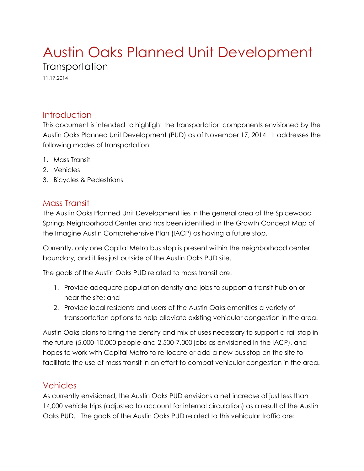# Austin Oaks Planned Unit Development **Transportation**

11.17.2014

### **Introduction**

This document is intended to highlight the transportation components envisioned by the Austin Oaks Planned Unit Development (PUD) as of November 17, 2014. It addresses the following modes of transportation:

- 1. Mass Transit
- 2. Vehicles
- 3. Bicycles & Pedestrians

#### Mass Transit

The Austin Oaks Planned Unit Development lies in the general area of the Spicewood Springs Neighborhood Center and has been identified in the Growth Concept Map of the Imagine Austin Comprehensive Plan (IACP) as having a future stop.

Currently, only one Capital Metro bus stop is present within the neighborhood center boundary, and it lies just outside of the Austin Oaks PUD site.

The goals of the Austin Oaks PUD related to mass transit are:

- 1. Provide adequate population density and jobs to support a transit hub on or near the site; and
- 2. Provide local residents and users of the Austin Oaks amenities a variety of transportation options to help alleviate existing vehicular congestion in the area.

Austin Oaks plans to bring the density and mix of uses necessary to support a rail stop in the future (5,000-10,000 people and 2,500-7,000 jobs as envisioned in the IACP), and hopes to work with Capital Metro to re-locate or add a new bus stop on the site to facilitate the use of mass transit in an effort to combat vehicular congestion in the area.

#### **Vehicles**

As currently envisioned, the Austin Oaks PUD envisions a net increase of just less than 14,000 vehicle trips (adjusted to account for internal circulation) as a result of the Austin Oaks PUD. The goals of the Austin Oaks PUD related to this vehicular traffic are: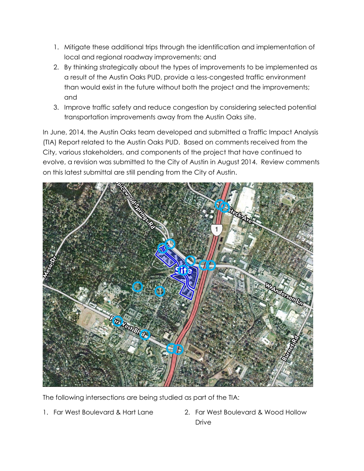- 1. Mitigate these additional trips through the identification and implementation of local and regional roadway improvements; and
- 2. By thinking strategically about the types of improvements to be implemented as a result of the Austin Oaks PUD, provide a less-congested traffic environment than would exist in the future without both the project and the improvements; and
- 3. Improve traffic safety and reduce congestion by considering selected potential transportation improvements away from the Austin Oaks site.

In June, 2014, the Austin Oaks team developed and submitted a Traffic Impact Analysis (TIA) Report related to the Austin Oaks PUD. Based on comments received from the City, various stakeholders, and components of the project that have continued to evolve, a revision was submitted to the City of Austin in August 2014. Review comments on this latest submittal are still pending from the City of Austin.



The following intersections are being studied as part of the TIA:

- 
- 1. Far West Boulevard & Hart Lane 2. Far West Boulevard & Wood Hollow Drive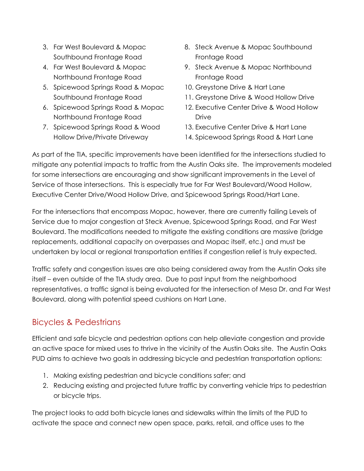- 3. Far West Boulevard & Mopac Southbound Frontage Road
- 4. Far West Boulevard & Mopac Northbound Frontage Road
- 5. Spicewood Springs Road & Mopac Southbound Frontage Road
- 6. Spicewood Springs Road & Mopac Northbound Frontage Road
- 7. Spicewood Springs Road & Wood Hollow Drive/Private Driveway
- 8. Steck Avenue & Mopac Southbound Frontage Road
- 9. Steck Avenue & Mopac Northbound Frontage Road
- 10. Greystone Drive & Hart Lane
- 11. Greystone Drive & Wood Hollow Drive
- 12. Executive Center Drive & Wood Hollow Drive
- 13. Executive Center Drive & Hart Lane
- 14. Spicewood Springs Road & Hart Lane

As part of the TIA, specific improvements have been identified for the intersections studied to mitigate any potential impacts to traffic from the Austin Oaks site. The improvements modeled for some intersections are encouraging and show significant improvements in the Level of Service of those intersections. This is especially true for Far West Boulevard/Wood Hollow, Executive Center Drive/Wood Hollow Drive, and Spicewood Springs Road/Hart Lane.

For the intersections that encompass Mopac, however, there are currently failing Levels of Service due to major congestion at Steck Avenue, Spicewood Springs Road, and Far West Boulevard. The modifications needed to mitigate the existing conditions are massive (bridge replacements, additional capacity on overpasses and Mopac itself, etc.) and must be undertaken by local or regional transportation entities if congestion relief is truly expected.

Traffic safety and congestion issues are also being considered away from the Austin Oaks site itself – even outside of the TIA study area. Due to past input from the neighborhood representatives, a traffic signal is being evaluated for the intersection of Mesa Dr. and Far West Boulevard, along with potential speed cushions on Hart Lane.

## Bicycles & Pedestrians

Efficient and safe bicycle and pedestrian options can help alleviate congestion and provide an active space for mixed uses to thrive in the vicinity of the Austin Oaks site. The Austin Oaks PUD aims to achieve two goals in addressing bicycle and pedestrian transportation options:

- 1. Making existing pedestrian and bicycle conditions safer; and
- 2. Reducing existing and projected future traffic by converting vehicle trips to pedestrian or bicycle trips.

The project looks to add both bicycle lanes and sidewalks within the limits of the PUD to activate the space and connect new open space, parks, retail, and office uses to the